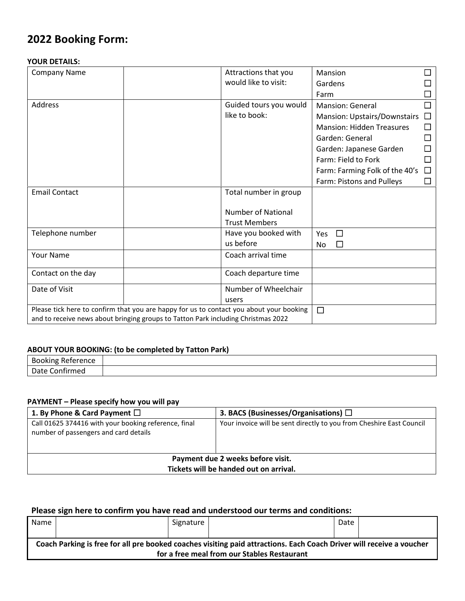# **2022 Booking Form:**

#### **YOUR DETAILS:**

| <b>Company Name</b>                                                                     | Attractions that you      | Mansion                          |        |
|-----------------------------------------------------------------------------------------|---------------------------|----------------------------------|--------|
|                                                                                         | would like to visit:      | Gardens                          |        |
|                                                                                         |                           | Farm                             |        |
| Address                                                                                 | Guided tours you would    | <b>Mansion: General</b>          |        |
|                                                                                         | like to book:             | Mansion: Upstairs/Downstairs     | $\Box$ |
|                                                                                         |                           | <b>Mansion: Hidden Treasures</b> |        |
|                                                                                         |                           | Garden: General                  |        |
|                                                                                         |                           | Garden: Japanese Garden          |        |
|                                                                                         |                           | Farm: Field to Fork              |        |
|                                                                                         |                           | Farm: Farming Folk of the 40's   |        |
|                                                                                         |                           | Farm: Pistons and Pulleys        |        |
| <b>Email Contact</b>                                                                    | Total number in group     |                                  |        |
|                                                                                         |                           |                                  |        |
|                                                                                         | <b>Number of National</b> |                                  |        |
|                                                                                         | <b>Trust Members</b>      |                                  |        |
| Telephone number                                                                        | Have you booked with      | Yes<br>$\Box$                    |        |
|                                                                                         | us before                 | No                               |        |
| Your Name                                                                               | Coach arrival time        |                                  |        |
| Contact on the day                                                                      | Coach departure time      |                                  |        |
| Date of Visit                                                                           | Number of Wheelchair      |                                  |        |
|                                                                                         | users                     |                                  |        |
| Please tick here to confirm that you are happy for us to contact you about your booking |                           | $\Box$                           |        |
| and to receive news about bringing groups to Tatton Park including Christmas 2022       |                           |                                  |        |

## **ABOUT YOUR BOOKING: (to be completed by Tatton Park)**

| <b>Booking</b><br>1.1.1.1.0.0.0.0<br>ence<br>⊶י<br>. .<br>. . |  |
|---------------------------------------------------------------|--|
| A<br>υd<br>THEU                                               |  |

### **PAYMENT – Please specify how you will pay**

| 1. By Phone & Card Payment $\Box$                                                             | 3. BACS (Businesses/Organisations) $\Box$                            |  |  |
|-----------------------------------------------------------------------------------------------|----------------------------------------------------------------------|--|--|
| Call 01625 374416 with your booking reference, final<br>number of passengers and card details | Your invoice will be sent directly to you from Cheshire East Council |  |  |
| Payment due 2 weeks before visit.<br>Tickets will be handed out on arrival.                   |                                                                      |  |  |

## **Please sign here to confirm you have read and understood our terms and conditions:**

| Name                                                                                                                                                                |  | Signature |  | Date |  |
|---------------------------------------------------------------------------------------------------------------------------------------------------------------------|--|-----------|--|------|--|
| Coach Parking is free for all pre booked coaches visiting paid attractions. Each Coach Driver will receive a voucher<br>for a free meal from our Stables Restaurant |  |           |  |      |  |